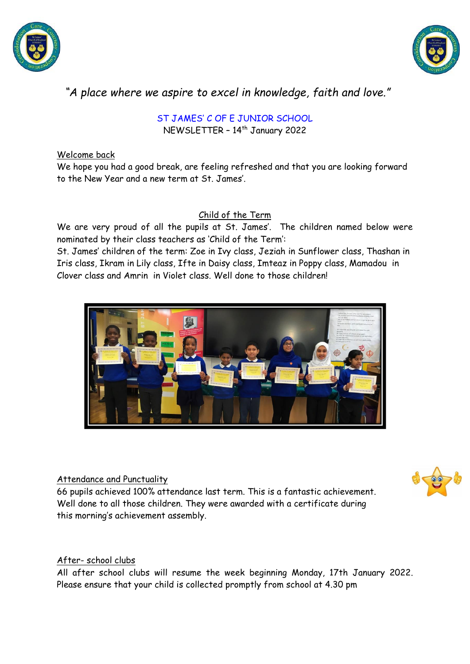



# *"A place where we aspire to excel in knowledge, faith and love."*

ST JAMES' C OF E JUNIOR SCHOOL NEWSLETTER - 14<sup>th</sup> January 2022

## Welcome back

We hope you had a good break, are feeling refreshed and that you are looking forward to the New Year and a new term at St. James'.

## Child of the Term

We are very proud of all the pupils at St. James'. The children named below were nominated by their class teachers as 'Child of the Term':

St. James' children of the term: Zoe in Ivy class, Jeziah in Sunflower class, Thashan in Iris class, Ikram in Lily class, Ifte in Daisy class, Imteaz in Poppy class, Mamadou in Clover class and Amrin in Violet class. Well done to those children!



## Attendance and Punctuality

66 pupils achieved 100% attendance last term. This is a fantastic achievement. Well done to all those children. They were awarded with a certificate during this morning's achievement assembly.

## After- school clubs

All after school clubs will resume the week beginning Monday, 17th January 2022. Please ensure that your child is collected promptly from school at 4.30 pm